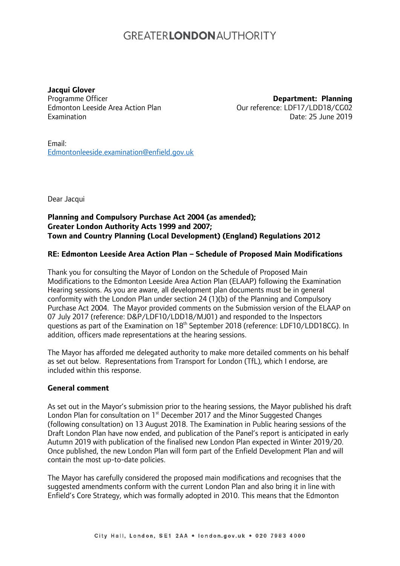# **GREATERLONDONALITHORITY**

**Jacqui Glover** Programme Officer Edmonton Leeside Area Action Plan Examination

**Department: Planning** Our reference: LDF17/LDD18/CG02 Date: 25 June 2019

Email: [Edmontonleeside.examination@enfield.gov.uk](mailto:Edmontonleeside.examination@enfield.gov.uk)

Dear Jacqui

### **Planning and Compulsory Purchase Act 2004 (as amended); Greater London Authority Acts 1999 and 2007; Town and Country Planning (Local Development) (England) Regulations 2012**

### **RE: Edmonton Leeside Area Action Plan – Schedule of Proposed Main Modifications**

Thank you for consulting the Mayor of London on the Schedule of Proposed Main Modifications to the Edmonton Leeside Area Action Plan (ELAAP) following the Examination Hearing sessions. As you are aware, all development plan documents must be in general conformity with the London Plan under section 24 (1)(b) of the Planning and Compulsory Purchase Act 2004. The Mayor provided comments on the Submission version of the ELAAP on 07 July 2017 (reference: D&P/LDF10/LDD18/MJ01) and responded to the Inspectors questions as part of the Examination on 18<sup>th</sup> September 2018 (reference: LDF10/LDD18CG). In addition, officers made representations at the hearing sessions.

The Mayor has afforded me delegated authority to make more detailed comments on his behalf as set out below. Representations from Transport for London (TfL), which I endorse, are included within this response.

#### **General comment**

As set out in the Mayor's submission prior to the hearing sessions, the Mayor published his draft London Plan for consultation on 1<sup>st</sup> December 2017 and the Minor Suggested Changes (following consultation) on 13 August 2018. The Examination in Public hearing sessions of the Draft London Plan have now ended, and publication of the Panel's report is anticipated in early Autumn 2019 with publication of the finalised new London Plan expected in Winter 2019/20. Once published, the new London Plan will form part of the Enfield Development Plan and will contain the most up-to-date policies.

The Mayor has carefully considered the proposed main modifications and recognises that the suggested amendments conform with the current London Plan and also bring it in line with Enfield's Core Strategy, which was formally adopted in 2010. This means that the Edmonton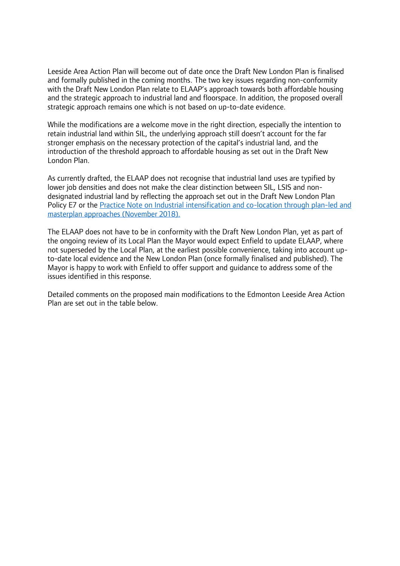Leeside Area Action Plan will become out of date once the Draft New London Plan is finalised and formally published in the coming months. The two key issues regarding non-conformity with the Draft New London Plan relate to ELAAP's approach towards both affordable housing and the strategic approach to industrial land and floorspace. In addition, the proposed overall strategic approach remains one which is not based on up-to-date evidence.

While the modifications are a welcome move in the right direction, especially the intention to retain industrial land within SIL, the underlying approach still doesn't account for the far stronger emphasis on the necessary protection of the capital's industrial land, and the introduction of the threshold approach to affordable housing as set out in the Draft New London Plan.

As currently drafted, the ELAAP does not recognise that industrial land uses are typified by lower job densities and does not make the clear distinction between SIL, LSIS and nondesignated industrial land by reflecting the approach set out in the Draft New London Plan Policy E7 or the [Practice Note on Industrial intensification and co-location through plan-led and](https://www.london.gov.uk/sites/default/files/practice_note_-_industrial_intensification.pdf)  [masterplan approaches \(November 2018\)](https://www.london.gov.uk/sites/default/files/practice_note_-_industrial_intensification.pdf).

The ELAAP does not have to be in conformity with the Draft New London Plan, yet as part of the ongoing review of its Local Plan the Mayor would expect Enfield to update ELAAP, where not superseded by the Local Plan, at the earliest possible convenience, taking into account upto-date local evidence and the New London Plan (once formally finalised and published). The Mayor is happy to work with Enfield to offer support and guidance to address some of the issues identified in this response.

Detailed comments on the proposed main modifications to the Edmonton Leeside Area Action Plan are set out in the table below.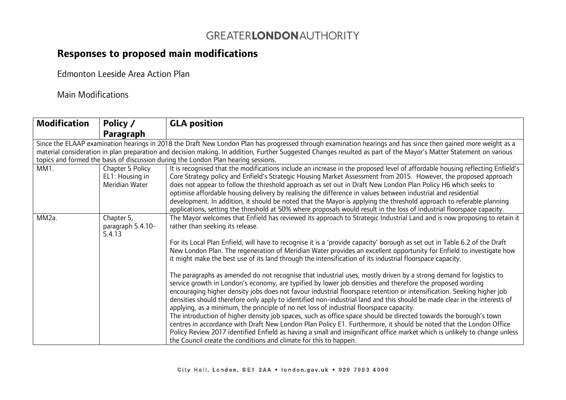## GREATERLONDONAUTHORITY

# **Responses to proposed main modifications**

Edmonton Leeside Area Action Plan

## Main Modifications

| <b>Modification</b>                                                                                                                                                | Policy /                                                                           | <b>GLA position</b>                                                                                                          |  |  |
|--------------------------------------------------------------------------------------------------------------------------------------------------------------------|------------------------------------------------------------------------------------|------------------------------------------------------------------------------------------------------------------------------|--|--|
|                                                                                                                                                                    | Paragraph                                                                          |                                                                                                                              |  |  |
| Since the ELAAP examination hearings in 2018 the Draft New London Plan has progressed through examination hearings and has since then gained more weight as a      |                                                                                    |                                                                                                                              |  |  |
| material consideration in plan preparation and decision making. In addition, Further Suggested Changes resulted as part of the Mayor's Matter Statement on various |                                                                                    |                                                                                                                              |  |  |
|                                                                                                                                                                    | topics and formed the basis of discussion during the London Plan hearing sessions. |                                                                                                                              |  |  |
| MM1.                                                                                                                                                               | Chapter 5 Policy                                                                   | It is recognised that the modifications include an increase in the proposed level of affordable housing reflecting Enfield's |  |  |
|                                                                                                                                                                    | EL1: Housing in                                                                    | Core Strategy policy and Enfield's Strategic Housing Market Assessment from 2015. However, the proposed approach             |  |  |
|                                                                                                                                                                    | Meridian Water                                                                     | does not appear to follow the threshold approach as set out in Draft New London Plan Policy H6 which seeks to                |  |  |
|                                                                                                                                                                    |                                                                                    | optimise affordable housing delivery by realising the difference in values between industrial and residential                |  |  |
|                                                                                                                                                                    |                                                                                    | development. In addition, it should be noted that the Mayor is applying the threshold approach to referable planning         |  |  |
|                                                                                                                                                                    |                                                                                    | applications, setting the threshold at 50% where proposals would result in the loss of industrial floorspace capacity.       |  |  |
| MM <sub>2a</sub> .                                                                                                                                                 | Chapter 5,                                                                         | The Mayor welcomes that Enfield has reviewed its approach to Strategic Industrial Land and is now proposing to retain it     |  |  |
|                                                                                                                                                                    | paragraph 5.4.10-                                                                  | rather than seeking its release.                                                                                             |  |  |
|                                                                                                                                                                    | 5.4.13                                                                             |                                                                                                                              |  |  |
|                                                                                                                                                                    |                                                                                    | For its Local Plan Enfield, will have to recognise it is a 'provide capacity' borough as set out in Table 6.2 of the Draft   |  |  |
|                                                                                                                                                                    |                                                                                    | New London Plan. The regeneration of Meridian Water provides an excellent opportunity for Enfield to investigate how         |  |  |
|                                                                                                                                                                    |                                                                                    | it might make the best use of its land through the intensification of its industrial floorspace capacity.                    |  |  |
|                                                                                                                                                                    |                                                                                    |                                                                                                                              |  |  |
|                                                                                                                                                                    |                                                                                    | The paragraphs as amended do not recognise that industrial uses, mostly driven by a strong demand for logistics to           |  |  |
|                                                                                                                                                                    |                                                                                    | service growth in London's economy, are typified by lower job densities and therefore the proposed wording                   |  |  |
|                                                                                                                                                                    |                                                                                    | encouraging higher density jobs does not favour industrial floorspace retention or intensification. Seeking higher job       |  |  |
|                                                                                                                                                                    |                                                                                    | densities should therefore only apply to identified non-industrial land and this should be made clear in the interests of    |  |  |
|                                                                                                                                                                    |                                                                                    | applying, as a minimum, the principle of no net loss of industrial floorspace capacity.                                      |  |  |
|                                                                                                                                                                    |                                                                                    | The introduction of higher density job spaces, such as office space should be directed towards the borough's town            |  |  |
|                                                                                                                                                                    |                                                                                    | centres in accordance with Draft New London Plan Policy E1. Furthermore, it should be noted that the London Office           |  |  |
|                                                                                                                                                                    |                                                                                    | Policy Review 2017 identified Enfield as having a small and insignificant office market which is unlikely to change unless   |  |  |
|                                                                                                                                                                    |                                                                                    | the Council create the conditions and climate for this to happen.                                                            |  |  |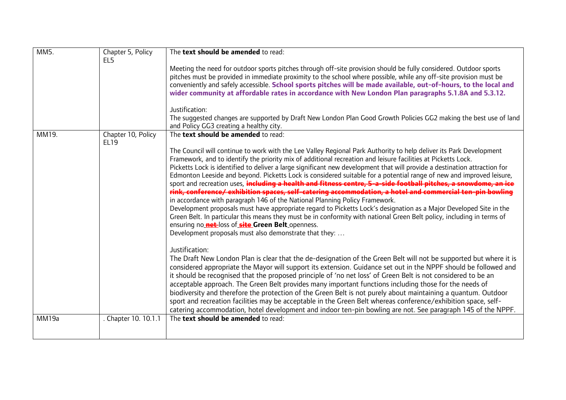| MM <sub>5</sub> . | Chapter 5, Policy<br>EL <sub>5</sub> | The text should be amended to read:                                                                                                                                                                                                                                                                                                                                                                                                                                                                                                                                                                                                                                                                                                                                                                                                                                                                                                                                                                                                                                                                                                                                  |
|-------------------|--------------------------------------|----------------------------------------------------------------------------------------------------------------------------------------------------------------------------------------------------------------------------------------------------------------------------------------------------------------------------------------------------------------------------------------------------------------------------------------------------------------------------------------------------------------------------------------------------------------------------------------------------------------------------------------------------------------------------------------------------------------------------------------------------------------------------------------------------------------------------------------------------------------------------------------------------------------------------------------------------------------------------------------------------------------------------------------------------------------------------------------------------------------------------------------------------------------------|
|                   |                                      | Meeting the need for outdoor sports pitches through off-site provision should be fully considered. Outdoor sports<br>pitches must be provided in immediate proximity to the school where possible, while any off-site provision must be<br>conveniently and safely accessible. School sports pitches will be made available, out-of-hours, to the local and<br>wider community at affordable rates in accordance with New London Plan paragraphs 5.1.8A and 5.3.12.                                                                                                                                                                                                                                                                                                                                                                                                                                                                                                                                                                                                                                                                                                  |
|                   |                                      | Justification:<br>The suggested changes are supported by Draft New London Plan Good Growth Policies GG2 making the best use of land<br>and Policy GG3 creating a healthy city.                                                                                                                                                                                                                                                                                                                                                                                                                                                                                                                                                                                                                                                                                                                                                                                                                                                                                                                                                                                       |
| MM19.             | Chapter 10, Policy<br><b>EL19</b>    | The text should be amended to read:                                                                                                                                                                                                                                                                                                                                                                                                                                                                                                                                                                                                                                                                                                                                                                                                                                                                                                                                                                                                                                                                                                                                  |
|                   |                                      | The Council will continue to work with the Lee Valley Regional Park Authority to help deliver its Park Development<br>Framework, and to identify the priority mix of additional recreation and leisure facilities at Picketts Lock.<br>Picketts Lock is identified to deliver a large significant new development that will provide a destination attraction for<br>Edmonton Leeside and beyond. Picketts Lock is considered suitable for a potential range of new and improved leisure,<br>sport and recreation uses, including a health and fitness centre, 5-a-side football pitches, a snowdome, an ice<br>rink, conference/exhibition spaces, self-catering accommodation, a hotel and commercial ten-pin bowling<br>in accordance with paragraph 146 of the National Planning Policy Framework.<br>Development proposals must have appropriate regard to Picketts Lock's designation as a Major Developed Site in the<br>Green Belt. In particular this means they must be in conformity with national Green Belt policy, including in terms of<br>ensuring no net loss of site Green Belt openness.<br>Development proposals must also demonstrate that they: |
|                   |                                      | Justification:<br>The Draft New London Plan is clear that the de-designation of the Green Belt will not be supported but where it is<br>considered appropriate the Mayor will support its extension. Guidance set out in the NPPF should be followed and<br>it should be recognised that the proposed principle of 'no net loss' of Green Belt is not considered to be an<br>acceptable approach. The Green Belt provides many important functions including those for the needs of<br>biodiversity and therefore the protection of the Green Belt is not purely about maintaining a quantum. Outdoor<br>sport and recreation facilities may be acceptable in the Green Belt whereas conference/exhibition space, self-<br>catering accommodation, hotel development and indoor ten-pin bowling are not. See paragraph 145 of the NPPF.                                                                                                                                                                                                                                                                                                                              |
| MM19a             | . Chapter 10. 10.1.1                 | The text should be amended to read:                                                                                                                                                                                                                                                                                                                                                                                                                                                                                                                                                                                                                                                                                                                                                                                                                                                                                                                                                                                                                                                                                                                                  |
|                   |                                      |                                                                                                                                                                                                                                                                                                                                                                                                                                                                                                                                                                                                                                                                                                                                                                                                                                                                                                                                                                                                                                                                                                                                                                      |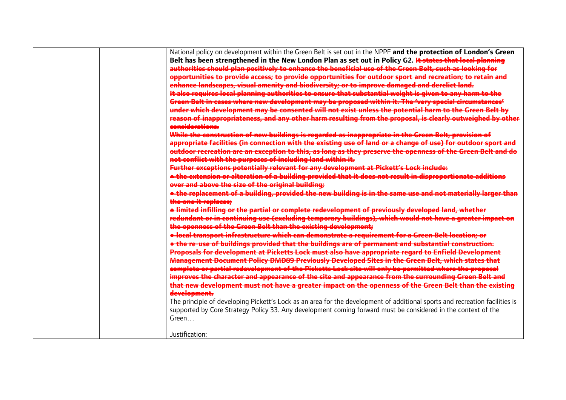| National policy on development within the Green Belt is set out in the NPPF and the protection of London's Green                                                                                                      |
|-----------------------------------------------------------------------------------------------------------------------------------------------------------------------------------------------------------------------|
| Belt has been strengthened in the New London Plan as set out in Policy G2. It states that local planning                                                                                                              |
| authorities should plan positively to enhance the beneficial use of the Green Belt, such as looking for                                                                                                               |
| opportunities to provide access, to provide opportunities for outdoor sport and recreation, to retain and                                                                                                             |
| enhance landscapes, visual amenity and biodiversity; or to improve damaged and derelict land.                                                                                                                         |
| It also requires local planning authorities to ensure that substantial weight is given to any harm to the                                                                                                             |
| Green Belt in cases where new development may be proposed within it. The 'very special circumstances'                                                                                                                 |
| under which development may be consented will not exist unless the potential harm to the Green Belt by<br>reason of inappropriateness, and any other harm resulting from the proposal, is clearly outweighed by other |
| considerations.                                                                                                                                                                                                       |
| While the construction of new buildings is regarded as inappropriate in the Green Belt, provision of                                                                                                                  |
| appropriate facilities (in connection with the existing use of land or a change of use) for outdoor sport                                                                                                             |
| outdoor recreation are an exception to this, as long as they preserve the openness of the Green Belt and do                                                                                                           |
| not conflict with the purposes of including land within it.                                                                                                                                                           |
| Further exceptions potentially relevant for any development at Pickett's Lock include:                                                                                                                                |
| <del>• the extension or alteration of a building provided that it does not result in disproportionate additions</del>                                                                                                 |
| over and above the size of the original building;                                                                                                                                                                     |
| • the replacement of a building, provided the new building is in the same use and not materially larger than                                                                                                          |
| the one it replaces:                                                                                                                                                                                                  |
| +imited infilling or the partial or complete redevelopment of previously developed land, whether                                                                                                                      |
| <u>redundant or in continuing use (excluding temporary buildings), which would not have a greater impact on</u>                                                                                                       |
| the openness of the Green Belt than the existing development;                                                                                                                                                         |
| <del>• local transport infrastructure which can demonstrate a requirement for a Green Belt location: or</del>                                                                                                         |
| e the re-use of buildings provided that the buildings are of permanent and substantial construction.                                                                                                                  |
| Proposals for development at Picketts Lock must also have appropriate regard to Enfield Development                                                                                                                   |
| Management Document Policy DMD89 Previously Developed Sites in the Green Belt, which states that                                                                                                                      |
| complete or partial redevelopment of the Picketts Lock site will only be permitted where the proposal                                                                                                                 |
| improves the character and appearance of the site and appearance from the surrounding Green Belt and                                                                                                                  |
| that new development must not have a greater impact on the openness of the Green Belt than the existing                                                                                                               |
| development.                                                                                                                                                                                                          |
| The principle of developing Pickett's Lock as an area for the development of additional sports and recreation facilities is                                                                                           |
| supported by Core Strategy Policy 33. Any development coming forward must be considered in the context of the                                                                                                         |
| Green                                                                                                                                                                                                                 |
|                                                                                                                                                                                                                       |
| Justification:                                                                                                                                                                                                        |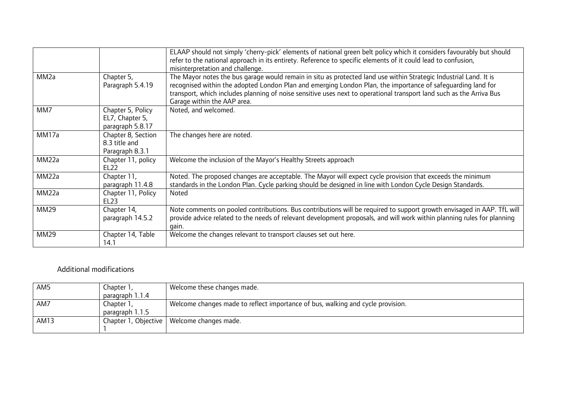|                   |                                                          | ELAAP should not simply 'cherry-pick' elements of national green belt policy which it considers favourably but should<br>refer to the national approach in its entirety. Reference to specific elements of it could lead to confusion,<br>misinterpretation and challenge.                                                                                                              |
|-------------------|----------------------------------------------------------|-----------------------------------------------------------------------------------------------------------------------------------------------------------------------------------------------------------------------------------------------------------------------------------------------------------------------------------------------------------------------------------------|
| MM <sub>2a</sub>  | Chapter 5,<br>Paragraph 5.4.19                           | The Mayor notes the bus garage would remain in situ as protected land use within Strategic Industrial Land. It is<br>recognised within the adopted London Plan and emerging London Plan, the importance of safequarding land for<br>transport, which includes planning of noise sensitive uses next to operational transport land such as the Arriva Bus<br>Garage within the AAP area. |
| MM7               | Chapter 5, Policy<br>EL7, Chapter 5,<br>paragraph 5.8.17 | Noted, and welcomed.                                                                                                                                                                                                                                                                                                                                                                    |
| MM17a             | Chapter 8, Section<br>8.3 title and<br>Paragraph 8.3.1   | The changes here are noted.                                                                                                                                                                                                                                                                                                                                                             |
| MM <sub>22a</sub> | Chapter 11, policy<br><b>EL22</b>                        | Welcome the inclusion of the Mayor's Healthy Streets approach                                                                                                                                                                                                                                                                                                                           |
| MM <sub>22a</sub> | Chapter 11,<br>paragraph 11.4.8                          | Noted. The proposed changes are acceptable. The Mayor will expect cycle provision that exceeds the minimum<br>standards in the London Plan. Cycle parking should be designed in line with London Cycle Design Standards.                                                                                                                                                                |
| MM <sub>22a</sub> | Chapter 11, Policy<br>EL23                               | <b>Noted</b>                                                                                                                                                                                                                                                                                                                                                                            |
| MM29              | Chapter 14,<br>paragraph 14.5.2                          | Note comments on pooled contributions. Bus contributions will be required to support growth envisaged in AAP. TfL will<br>provide advice related to the needs of relevant development proposals, and will work within planning rules for planning<br>gain.                                                                                                                              |
| MM29              | Chapter 14, Table<br>14.1                                | Welcome the changes relevant to transport clauses set out here.                                                                                                                                                                                                                                                                                                                         |

### Additional modifications

| AM5  | Chapter 1,      | Welcome these changes made.                                                     |
|------|-----------------|---------------------------------------------------------------------------------|
|      | paragraph 1.1.4 |                                                                                 |
| AM7  | Chapter 1,      | Welcome changes made to reflect importance of bus, walking and cycle provision. |
|      | paragraph 1.1.5 |                                                                                 |
| AM13 |                 | Chapter 1, Objective   Welcome changes made.                                    |
|      |                 |                                                                                 |